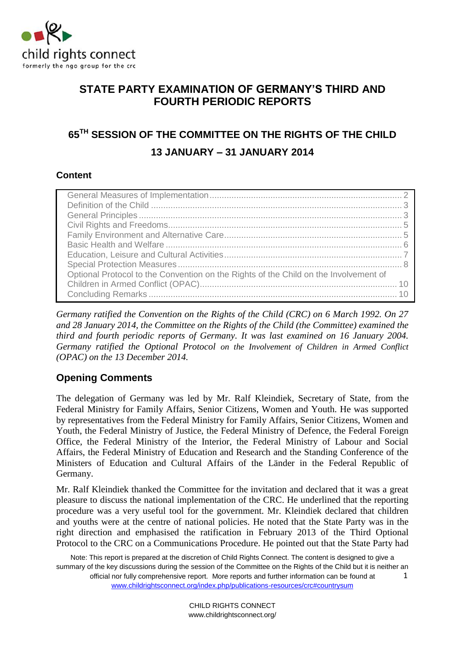

# **STATE PARTY EXAMINATION OF GERMANY'S THIRD AND FOURTH PERIODIC REPORTS**

# **65TH SESSION OF THE COMMITTEE ON THE RIGHTS OF THE CHILD 13 JANUARY – 31 JANUARY 2014**

# **Content**

| Optional Protocol to the Convention on the Rights of the Child on the Involvement of |
|--------------------------------------------------------------------------------------|
|                                                                                      |
|                                                                                      |

*Germany ratified the Convention on the Rights of the Child (CRC) on 6 March 1992. On 27 and 28 January 2014, the Committee on the Rights of the Child (the Committee) examined the third and fourth periodic reports of Germany. It was last examined on 16 January 2004. Germany ratified the Optional Protocol on the Involvement of Children in Armed Conflict (OPAC) on the 13 December 2014.*

# **Opening Comments**

The delegation of Germany was led by Mr. Ralf Kleindiek, Secretary of State, from the Federal Ministry for Family Affairs, Senior Citizens, Women and Youth. He was supported by representatives from the Federal Ministry for Family Affairs, Senior Citizens, Women and Youth, the Federal Ministry of Justice, the Federal Ministry of Defence, the Federal Foreign Office, the Federal Ministry of the Interior, the Federal Ministry of Labour and Social Affairs, the Federal Ministry of Education and Research and the Standing Conference of the Ministers of Education and Cultural Affairs of the Länder in the Federal Republic of Germany.

Mr. Ralf Kleindiek thanked the Committee for the invitation and declared that it was a great pleasure to discuss the national implementation of the CRC. He underlined that the reporting procedure was a very useful tool for the government. Mr. Kleindiek declared that children and youths were at the centre of national policies. He noted that the State Party was in the right direction and emphasised the ratification in February 2013 of the Third Optional Protocol to the CRC on a Communications Procedure. He pointed out that the State Party had

Note: This report is prepared at the discretion of Child Rights Connect. The content is designed to give a summary of the key discussions during the session of the Committee on the Rights of the Child but it is neither an official nor fully comprehensive report. More reports and further information can be found at [www.childrightsconnect.org/index.php/publications-resources/crc#countrysum](http://www.childrightsconnect.org/index.php/publications-resources/crc#countrysum) 1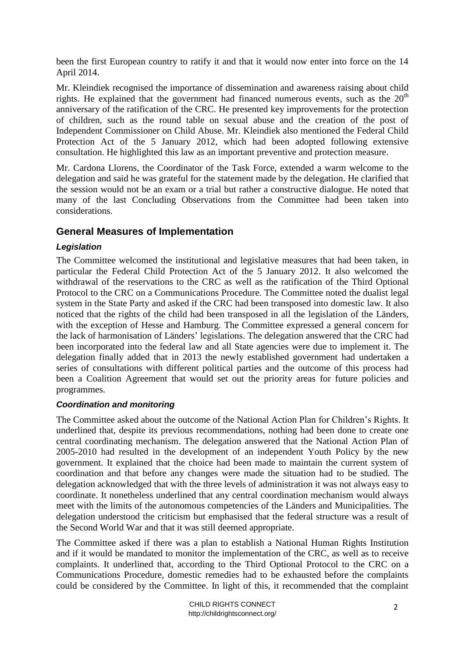been the first European country to ratify it and that it would now enter into force on the 14 April 2014.

Mr. Kleindiek recognised the importance of dissemination and awareness raising about child rights. He explained that the government had financed numerous events, such as the  $20<sup>th</sup>$ anniversary of the ratification of the CRC. He presented key improvements for the protection of children, such as the round table on sexual abuse and the creation of the post of Independent Commissioner on Child Abuse. Mr. Kleindiek also mentioned the Federal Child Protection Act of the 5 January 2012, which had been adopted following extensive consultation. He highlighted this law as an important preventive and protection measure.

Mr. Cardona Llorens, the Coordinator of the Task Force, extended a warm welcome to the delegation and said he was grateful for the statement made by the delegation. He clarified that the session would not be an exam or a trial but rather a constructive dialogue. He noted that many of the last Concluding Observations from the Committee had been taken into considerations.

# <span id="page-1-0"></span>**General Measures of Implementation**

## *Legislation*

The Committee welcomed the institutional and legislative measures that had been taken, in particular the Federal Child Protection Act of the 5 January 2012. It also welcomed the withdrawal of the reservations to the CRC as well as the ratification of the Third Optional Protocol to the CRC on a Communications Procedure. The Committee noted the dualist legal system in the State Party and asked if the CRC had been transposed into domestic law. It also noticed that the rights of the child had been transposed in all the legislation of the Länders, with the exception of Hesse and Hamburg. The Committee expressed a general concern for the lack of harmonisation of Länders' legislations. The delegation answered that the CRC had been incorporated into the federal law and all State agencies were due to implement it. The delegation finally added that in 2013 the newly established government had undertaken a series of consultations with different political parties and the outcome of this process had been a Coalition Agreement that would set out the priority areas for future policies and programmes.

#### *Coordination and monitoring*

The Committee asked about the outcome of the National Action Plan for Children's Rights. It underlined that, despite its previous recommendations, nothing had been done to create one central coordinating mechanism. The delegation answered that the National Action Plan of 2005-2010 had resulted in the development of an independent Youth Policy by the new government. It explained that the choice had been made to maintain the current system of coordination and that before any changes were made the situation had to be studied. The delegation acknowledged that with the three levels of administration it was not always easy to coordinate. It nonetheless underlined that any central coordination mechanism would always meet with the limits of the autonomous competencies of the Länders and Municipalities. The delegation understood the criticism but emphasised that the federal structure was a result of the Second World War and that it was still deemed appropriate.

The Committee asked if there was a plan to establish a National Human Rights Institution and if it would be mandated to monitor the implementation of the CRC, as well as to receive complaints. It underlined that, according to the Third Optional Protocol to the CRC on a Communications Procedure, domestic remedies had to be exhausted before the complaints could be considered by the Committee. In light of this, it recommended that the complaint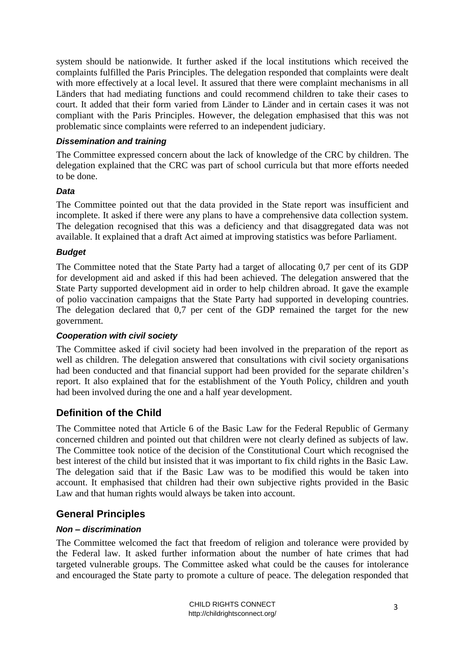system should be nationwide. It further asked if the local institutions which received the complaints fulfilled the Paris Principles. The delegation responded that complaints were dealt with more effectively at a local level. It assured that there were complaint mechanisms in all Länders that had mediating functions and could recommend children to take their cases to court. It added that their form varied from Länder to Länder and in certain cases it was not compliant with the Paris Principles. However, the delegation emphasised that this was not problematic since complaints were referred to an independent judiciary.

#### *Dissemination and training*

The Committee expressed concern about the lack of knowledge of the CRC by children. The delegation explained that the CRC was part of school curricula but that more efforts needed to be done.

#### *Data*

The Committee pointed out that the data provided in the State report was insufficient and incomplete. It asked if there were any plans to have a comprehensive data collection system. The delegation recognised that this was a deficiency and that disaggregated data was not available. It explained that a draft Act aimed at improving statistics was before Parliament.

#### *Budget*

The Committee noted that the State Party had a target of allocating 0,7 per cent of its GDP for development aid and asked if this had been achieved. The delegation answered that the State Party supported development aid in order to help children abroad. It gave the example of polio vaccination campaigns that the State Party had supported in developing countries. The delegation declared that 0,7 per cent of the GDP remained the target for the new government.

#### *Cooperation with civil society*

The Committee asked if civil society had been involved in the preparation of the report as well as children. The delegation answered that consultations with civil society organisations had been conducted and that financial support had been provided for the separate children's report. It also explained that for the establishment of the Youth Policy, children and youth had been involved during the one and a half year development.

## <span id="page-2-0"></span>**Definition of the Child**

The Committee noted that Article 6 of the Basic Law for the Federal Republic of Germany concerned children and pointed out that children were not clearly defined as subjects of law. The Committee took notice of the decision of the Constitutional Court which recognised the best interest of the child but insisted that it was important to fix child rights in the Basic Law. The delegation said that if the Basic Law was to be modified this would be taken into account. It emphasised that children had their own subjective rights provided in the Basic Law and that human rights would always be taken into account.

## <span id="page-2-1"></span>**General Principles**

#### *Non – discrimination*

The Committee welcomed the fact that freedom of religion and tolerance were provided by the Federal law. It asked further information about the number of hate crimes that had targeted vulnerable groups. The Committee asked what could be the causes for intolerance and encouraged the State party to promote a culture of peace. The delegation responded that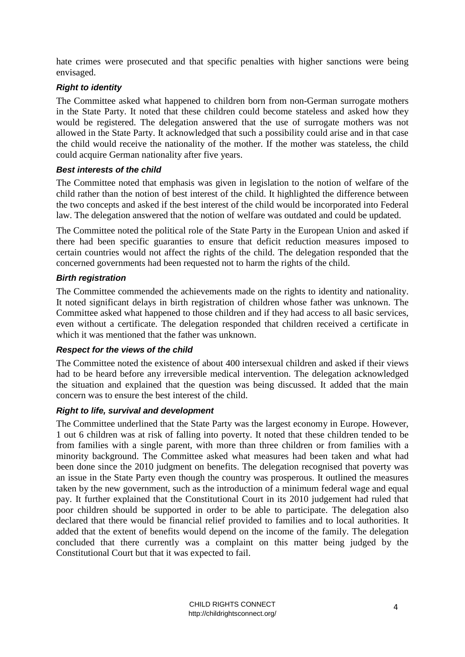hate crimes were prosecuted and that specific penalties with higher sanctions were being envisaged.

#### *Right to identity*

The Committee asked what happened to children born from non-German surrogate mothers in the State Party. It noted that these children could become stateless and asked how they would be registered. The delegation answered that the use of surrogate mothers was not allowed in the State Party. It acknowledged that such a possibility could arise and in that case the child would receive the nationality of the mother. If the mother was stateless, the child could acquire German nationality after five years.

## *Best interests of the child*

The Committee noted that emphasis was given in legislation to the notion of welfare of the child rather than the notion of best interest of the child. It highlighted the difference between the two concepts and asked if the best interest of the child would be incorporated into Federal law. The delegation answered that the notion of welfare was outdated and could be updated.

The Committee noted the political role of the State Party in the European Union and asked if there had been specific guaranties to ensure that deficit reduction measures imposed to certain countries would not affect the rights of the child. The delegation responded that the concerned governments had been requested not to harm the rights of the child.

## *Birth registration*

The Committee commended the achievements made on the rights to identity and nationality. It noted significant delays in birth registration of children whose father was unknown. The Committee asked what happened to those children and if they had access to all basic services, even without a certificate. The delegation responded that children received a certificate in which it was mentioned that the father was unknown.

#### *Respect for the views of the child*

The Committee noted the existence of about 400 intersexual children and asked if their views had to be heard before any irreversible medical intervention. The delegation acknowledged the situation and explained that the question was being discussed. It added that the main concern was to ensure the best interest of the child.

#### *Right to life, survival and development*

<span id="page-3-0"></span>The Committee underlined that the State Party was the largest economy in Europe. However, 1 out 6 children was at risk of falling into poverty. It noted that these children tended to be from families with a single parent, with more than three children or from families with a minority background. The Committee asked what measures had been taken and what had been done since the 2010 judgment on benefits. The delegation recognised that poverty was an issue in the State Party even though the country was prosperous. It outlined the measures taken by the new government, such as the introduction of a minimum federal wage and equal pay. It further explained that the Constitutional Court in its 2010 judgement had ruled that poor children should be supported in order to be able to participate. The delegation also declared that there would be financial relief provided to families and to local authorities. It added that the extent of benefits would depend on the income of the family. The delegation concluded that there currently was a complaint on this matter being judged by the Constitutional Court but that it was expected to fail.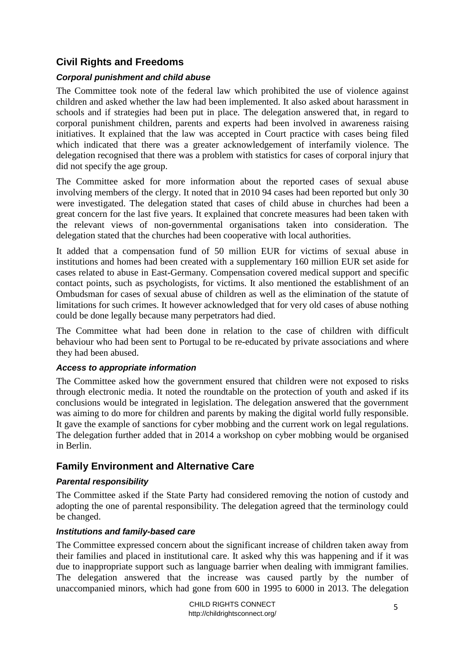# **Civil Rights and Freedoms**

#### *Corporal punishment and child abuse*

The Committee took note of the federal law which prohibited the use of violence against children and asked whether the law had been implemented. It also asked about harassment in schools and if strategies had been put in place. The delegation answered that, in regard to corporal punishment children, parents and experts had been involved in awareness raising initiatives. It explained that the law was accepted in Court practice with cases being filed which indicated that there was a greater acknowledgement of interfamily violence. The delegation recognised that there was a problem with statistics for cases of corporal injury that did not specify the age group.

The Committee asked for more information about the reported cases of sexual abuse involving members of the clergy. It noted that in 2010 94 cases had been reported but only 30 were investigated. The delegation stated that cases of child abuse in churches had been a great concern for the last five years. It explained that concrete measures had been taken with the relevant views of non-governmental organisations taken into consideration. The delegation stated that the churches had been cooperative with local authorities.

It added that a compensation fund of 50 million EUR for victims of sexual abuse in institutions and homes had been created with a supplementary 160 million EUR set aside for cases related to abuse in East-Germany. Compensation covered medical support and specific contact points, such as psychologists, for victims. It also mentioned the establishment of an Ombudsman for cases of sexual abuse of children as well as the elimination of the statute of limitations for such crimes. It however acknowledged that for very old cases of abuse nothing could be done legally because many perpetrators had died.

The Committee what had been done in relation to the case of children with difficult behaviour who had been sent to Portugal to be re-educated by private associations and where they had been abused.

#### *Access to appropriate information*

The Committee asked how the government ensured that children were not exposed to risks through electronic media. It noted the roundtable on the protection of youth and asked if its conclusions would be integrated in legislation. The delegation answered that the government was aiming to do more for children and parents by making the digital world fully responsible. It gave the example of sanctions for cyber mobbing and the current work on legal regulations. The delegation further added that in 2014 a workshop on cyber mobbing would be organised in Berlin.

## <span id="page-4-0"></span>**Family Environment and Alternative Care**

#### *Parental responsibility*

The Committee asked if the State Party had considered removing the notion of custody and adopting the one of parental responsibility. The delegation agreed that the terminology could be changed.

#### *Institutions and family-based care*

The Committee expressed concern about the significant increase of children taken away from their families and placed in institutional care. It asked why this was happening and if it was due to inappropriate support such as language barrier when dealing with immigrant families. The delegation answered that the increase was caused partly by the number of unaccompanied minors, which had gone from 600 in 1995 to 6000 in 2013. The delegation

> CHILD RIGHTS CONNECT http://childrightsconnect.org/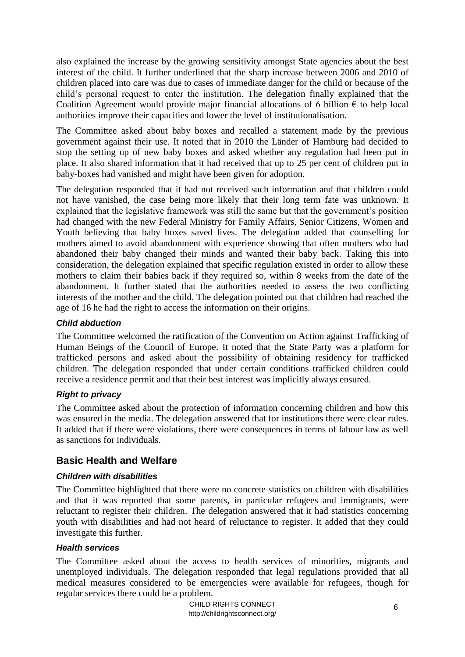also explained the increase by the growing sensitivity amongst State agencies about the best interest of the child. It further underlined that the sharp increase between 2006 and 2010 of children placed into care was due to cases of immediate danger for the child or because of the child's personal request to enter the institution. The delegation finally explained that the Coalition Agreement would provide major financial allocations of 6 billion  $\epsilon$  to help local authorities improve their capacities and lower the level of institutionalisation.

The Committee asked about baby boxes and recalled a statement made by the previous government against their use. It noted that in 2010 the Länder of Hamburg had decided to stop the setting up of new baby boxes and asked whether any regulation had been put in place. It also shared information that it had received that up to 25 per cent of children put in baby-boxes had vanished and might have been given for adoption.

The delegation responded that it had not received such information and that children could not have vanished, the case being more likely that their long term fate was unknown. It explained that the legislative framework was still the same but that the government's position had changed with the new Federal Ministry for Family Affairs, Senior Citizens, Women and Youth believing that baby boxes saved lives. The delegation added that counselling for mothers aimed to avoid abandonment with experience showing that often mothers who had abandoned their baby changed their minds and wanted their baby back. Taking this into consideration, the delegation explained that specific regulation existed in order to allow these mothers to claim their babies back if they required so, within 8 weeks from the date of the abandonment. It further stated that the authorities needed to assess the two conflicting interests of the mother and the child. The delegation pointed out that children had reached the age of 16 he had the right to access the information on their origins.

## *Child abduction*

The Committee welcomed the ratification of the Convention on Action against Trafficking of Human Beings of the Council of Europe. It noted that the State Party was a platform for trafficked persons and asked about the possibility of obtaining residency for trafficked children. The delegation responded that under certain conditions trafficked children could receive a residence permit and that their best interest was implicitly always ensured.

#### *Right to privacy*

The Committee asked about the protection of information concerning children and how this was ensured in the media. The delegation answered that for institutions there were clear rules. It added that if there were violations, there were consequences in terms of labour law as well as sanctions for individuals.

# <span id="page-5-0"></span>**Basic Health and Welfare**

#### *Children with disabilities*

The Committee highlighted that there were no concrete statistics on children with disabilities and that it was reported that some parents, in particular refugees and immigrants, were reluctant to register their children. The delegation answered that it had statistics concerning youth with disabilities and had not heard of reluctance to register. It added that they could investigate this further.

#### *Health services*

The Committee asked about the access to health services of minorities, migrants and unemployed individuals. The delegation responded that legal regulations provided that all medical measures considered to be emergencies were available for refugees, though for regular services there could be a problem.

> CHILD RIGHTS CONNECT http://childrightsconnect.org/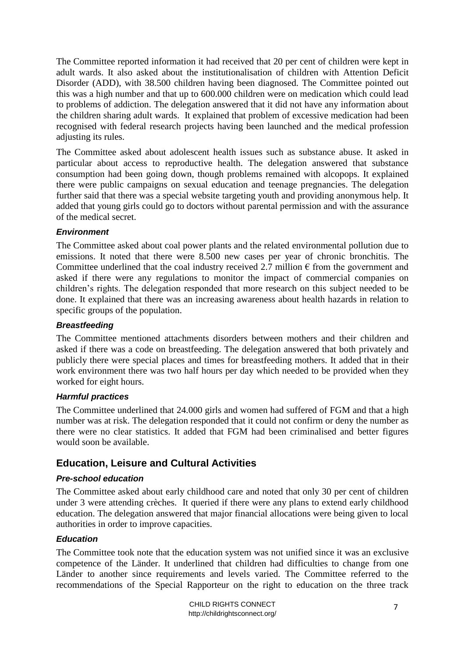The Committee reported information it had received that 20 per cent of children were kept in adult wards. It also asked about the institutionalisation of children with Attention Deficit Disorder (ADD), with 38.500 children having been diagnosed. The Committee pointed out this was a high number and that up to 600.000 children were on medication which could lead to problems of addiction. The delegation answered that it did not have any information about the children sharing adult wards. It explained that problem of excessive medication had been recognised with federal research projects having been launched and the medical profession adjusting its rules.

The Committee asked about adolescent health issues such as substance abuse. It asked in particular about access to reproductive health. The delegation answered that substance consumption had been going down, though problems remained with alcopops. It explained there were public campaigns on sexual education and teenage pregnancies. The delegation further said that there was a special website targeting youth and providing anonymous help. It added that young girls could go to doctors without parental permission and with the assurance of the medical secret.

#### *Environment*

The Committee asked about coal power plants and the related environmental pollution due to emissions. It noted that there were 8.500 new cases per year of chronic bronchitis. The Committee underlined that the coal industry received 2.7 million  $\epsilon$  from the government and asked if there were any regulations to monitor the impact of commercial companies on children's rights. The delegation responded that more research on this subject needed to be done. It explained that there was an increasing awareness about health hazards in relation to specific groups of the population.

#### *Breastfeeding*

The Committee mentioned attachments disorders between mothers and their children and asked if there was a code on breastfeeding. The delegation answered that both privately and publicly there were special places and times for breastfeeding mothers. It added that in their work environment there was two half hours per day which needed to be provided when they worked for eight hours.

#### *Harmful practices*

The Committee underlined that 24.000 girls and women had suffered of FGM and that a high number was at risk. The delegation responded that it could not confirm or deny the number as there were no clear statistics. It added that FGM had been criminalised and better figures would soon be available.

# <span id="page-6-0"></span>**Education, Leisure and Cultural Activities**

#### *Pre-school education*

The Committee asked about early childhood care and noted that only 30 per cent of children under 3 were attending crèches. It queried if there were any plans to extend early childhood education. The delegation answered that major financial allocations were being given to local authorities in order to improve capacities.

## *Education*

The Committee took note that the education system was not unified since it was an exclusive competence of the Länder. It underlined that children had difficulties to change from one Länder to another since requirements and levels varied. The Committee referred to the recommendations of the Special Rapporteur on the right to education on the three track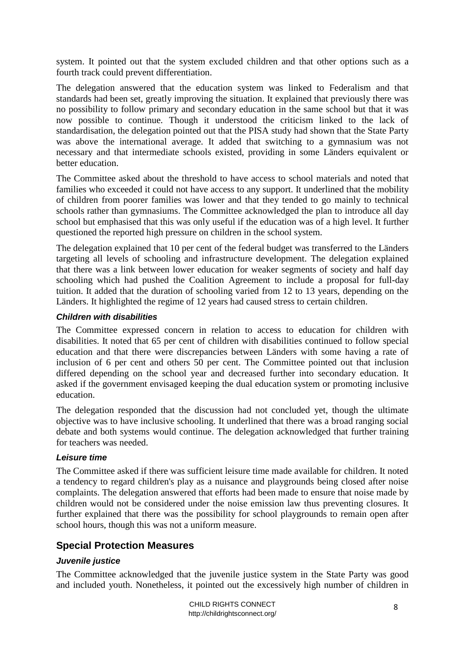system. It pointed out that the system excluded children and that other options such as a fourth track could prevent differentiation.

The delegation answered that the education system was linked to Federalism and that standards had been set, greatly improving the situation. It explained that previously there was no possibility to follow primary and secondary education in the same school but that it was now possible to continue. Though it understood the criticism linked to the lack of standardisation, the delegation pointed out that the PISA study had shown that the State Party was above the international average. It added that switching to a gymnasium was not necessary and that intermediate schools existed, providing in some Länders equivalent or better education.

The Committee asked about the threshold to have access to school materials and noted that families who exceeded it could not have access to any support. It underlined that the mobility of children from poorer families was lower and that they tended to go mainly to technical schools rather than gymnasiums. The Committee acknowledged the plan to introduce all day school but emphasised that this was only useful if the education was of a high level. It further questioned the reported high pressure on children in the school system.

The delegation explained that 10 per cent of the federal budget was transferred to the Länders targeting all levels of schooling and infrastructure development. The delegation explained that there was a link between lower education for weaker segments of society and half day schooling which had pushed the Coalition Agreement to include a proposal for full-day tuition. It added that the duration of schooling varied from 12 to 13 years, depending on the Länders. It highlighted the regime of 12 years had caused stress to certain children.

#### *Children with disabilities*

The Committee expressed concern in relation to access to education for children with disabilities. It noted that 65 per cent of children with disabilities continued to follow special education and that there were discrepancies between Länders with some having a rate of inclusion of 6 per cent and others 50 per cent. The Committee pointed out that inclusion differed depending on the school year and decreased further into secondary education. It asked if the government envisaged keeping the dual education system or promoting inclusive education.

The delegation responded that the discussion had not concluded yet, though the ultimate objective was to have inclusive schooling. It underlined that there was a broad ranging social debate and both systems would continue. The delegation acknowledged that further training for teachers was needed.

#### *Leisure time*

The Committee asked if there was sufficient leisure time made available for children. It noted a tendency to regard children's play as a nuisance and playgrounds being closed after noise complaints. The delegation answered that efforts had been made to ensure that noise made by children would not be considered under the noise emission law thus preventing closures. It further explained that there was the possibility for school playgrounds to remain open after school hours, though this was not a uniform measure.

#### <span id="page-7-0"></span>**Special Protection Measures**

#### *Juvenile justice*

The Committee acknowledged that the juvenile justice system in the State Party was good and included youth. Nonetheless, it pointed out the excessively high number of children in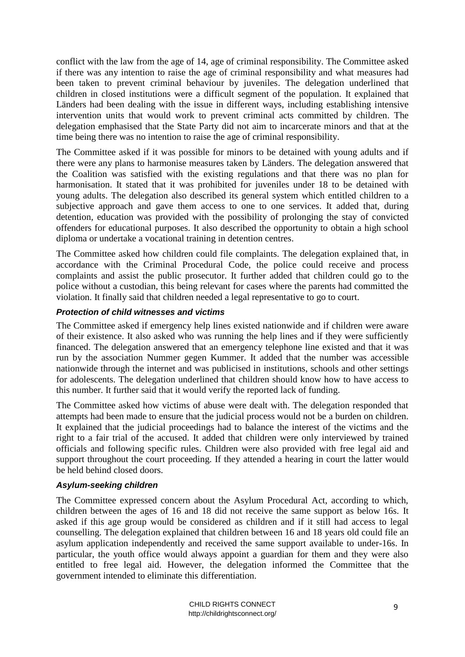conflict with the law from the age of 14, age of criminal responsibility. The Committee asked if there was any intention to raise the age of criminal responsibility and what measures had been taken to prevent criminal behaviour by juveniles. The delegation underlined that children in closed institutions were a difficult segment of the population. It explained that Länders had been dealing with the issue in different ways, including establishing intensive intervention units that would work to prevent criminal acts committed by children. The delegation emphasised that the State Party did not aim to incarcerate minors and that at the time being there was no intention to raise the age of criminal responsibility.

The Committee asked if it was possible for minors to be detained with young adults and if there were any plans to harmonise measures taken by Länders. The delegation answered that the Coalition was satisfied with the existing regulations and that there was no plan for harmonisation. It stated that it was prohibited for juveniles under 18 to be detained with young adults. The delegation also described its general system which entitled children to a subjective approach and gave them access to one to one services. It added that, during detention, education was provided with the possibility of prolonging the stay of convicted offenders for educational purposes. It also described the opportunity to obtain a high school diploma or undertake a vocational training in detention centres.

The Committee asked how children could file complaints. The delegation explained that, in accordance with the Criminal Procedural Code, the police could receive and process complaints and assist the public prosecutor. It further added that children could go to the police without a custodian, this being relevant for cases where the parents had committed the violation. It finally said that children needed a legal representative to go to court.

#### *Protection of child witnesses and victims*

The Committee asked if emergency help lines existed nationwide and if children were aware of their existence. It also asked who was running the help lines and if they were sufficiently financed. The delegation answered that an emergency telephone line existed and that it was run by the association Nummer gegen Kummer. It added that the number was accessible nationwide through the internet and was publicised in institutions, schools and other settings for adolescents. The delegation underlined that children should know how to have access to this number. It further said that it would verify the reported lack of funding.

The Committee asked how victims of abuse were dealt with. The delegation responded that attempts had been made to ensure that the judicial process would not be a burden on children. It explained that the judicial proceedings had to balance the interest of the victims and the right to a fair trial of the accused. It added that children were only interviewed by trained officials and following specific rules. Children were also provided with free legal aid and support throughout the court proceeding. If they attended a hearing in court the latter would be held behind closed doors.

#### *Asylum-seeking children*

The Committee expressed concern about the Asylum Procedural Act, according to which, children between the ages of 16 and 18 did not receive the same support as below 16s. It asked if this age group would be considered as children and if it still had access to legal counselling. The delegation explained that children between 16 and 18 years old could file an asylum application independently and received the same support available to under-16s. In particular, the youth office would always appoint a guardian for them and they were also entitled to free legal aid. However, the delegation informed the Committee that the government intended to eliminate this differentiation.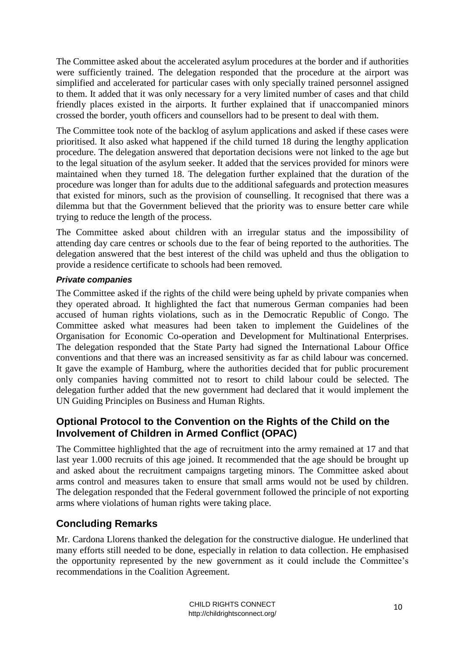The Committee asked about the accelerated asylum procedures at the border and if authorities were sufficiently trained. The delegation responded that the procedure at the airport was simplified and accelerated for particular cases with only specially trained personnel assigned to them. It added that it was only necessary for a very limited number of cases and that child friendly places existed in the airports. It further explained that if unaccompanied minors crossed the border, youth officers and counsellors had to be present to deal with them.

The Committee took note of the backlog of asylum applications and asked if these cases were prioritised. It also asked what happened if the child turned 18 during the lengthy application procedure. The delegation answered that deportation decisions were not linked to the age but to the legal situation of the asylum seeker. It added that the services provided for minors were maintained when they turned 18. The delegation further explained that the duration of the procedure was longer than for adults due to the additional safeguards and protection measures that existed for minors, such as the provision of counselling. It recognised that there was a dilemma but that the Government believed that the priority was to ensure better care while trying to reduce the length of the process.

The Committee asked about children with an irregular status and the impossibility of attending day care centres or schools due to the fear of being reported to the authorities. The delegation answered that the best interest of the child was upheld and thus the obligation to provide a residence certificate to schools had been removed.

#### *Private companies*

The Committee asked if the rights of the child were being upheld by private companies when they operated abroad. It highlighted the fact that numerous German companies had been accused of human rights violations, such as in the Democratic Republic of Congo. The Committee asked what measures had been taken to implement the Guidelines of the Organisation for Economic Co-operation and Development for Multinational Enterprises. The delegation responded that the State Party had signed the International Labour Office conventions and that there was an increased sensitivity as far as child labour was concerned. It gave the example of Hamburg, where the authorities decided that for public procurement only companies having committed not to resort to child labour could be selected. The delegation further added that the new government had declared that it would implement the UN Guiding Principles on Business and Human Rights.

# <span id="page-9-0"></span>**Optional Protocol to the Convention on the Rights of the Child on the Involvement of Children in Armed Conflict (OPAC)**

The Committee highlighted that the age of recruitment into the army remained at 17 and that last year 1.000 recruits of this age joined. It recommended that the age should be brought up and asked about the recruitment campaigns targeting minors. The Committee asked about arms control and measures taken to ensure that small arms would not be used by children. The delegation responded that the Federal government followed the principle of not exporting arms where violations of human rights were taking place.

# <span id="page-9-1"></span>**Concluding Remarks**

Mr. Cardona Llorens thanked the delegation for the constructive dialogue. He underlined that many efforts still needed to be done, especially in relation to data collection. He emphasised the opportunity represented by the new government as it could include the Committee's recommendations in the Coalition Agreement.